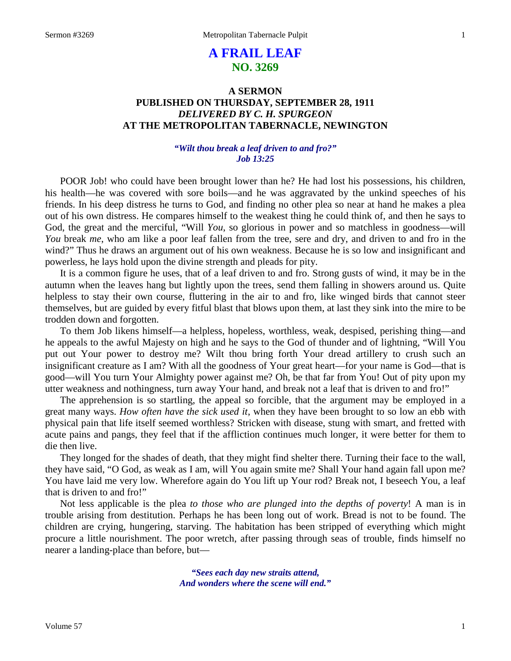# **A FRAIL LEAF NO. 3269**

# **A SERMON PUBLISHED ON THURSDAY, SEPTEMBER 28, 1911** *DELIVERED BY C. H. SPURGEON* **AT THE METROPOLITAN TABERNACLE, NEWINGTON**

# *"Wilt thou break a leaf driven to and fro?" Job 13:25*

POOR Job! who could have been brought lower than he? He had lost his possessions, his children, his health—he was covered with sore boils—and he was aggravated by the unkind speeches of his friends. In his deep distress he turns to God, and finding no other plea so near at hand he makes a plea out of his own distress. He compares himself to the weakest thing he could think of, and then he says to God, the great and the merciful, "Will *You*, so glorious in power and so matchless in goodness—will *You* break *me*, who am like a poor leaf fallen from the tree, sere and dry, and driven to and fro in the wind?" Thus he draws an argument out of his own weakness. Because he is so low and insignificant and powerless, he lays hold upon the divine strength and pleads for pity.

It is a common figure he uses, that of a leaf driven to and fro. Strong gusts of wind, it may be in the autumn when the leaves hang but lightly upon the trees, send them falling in showers around us. Quite helpless to stay their own course, fluttering in the air to and fro, like winged birds that cannot steer themselves, but are guided by every fitful blast that blows upon them, at last they sink into the mire to be trodden down and forgotten.

To them Job likens himself—a helpless, hopeless, worthless, weak, despised, perishing thing—and he appeals to the awful Majesty on high and he says to the God of thunder and of lightning, "Will You put out Your power to destroy me? Wilt thou bring forth Your dread artillery to crush such an insignificant creature as I am? With all the goodness of Your great heart—for your name is God—that is good—will You turn Your Almighty power against me? Oh, be that far from You! Out of pity upon my utter weakness and nothingness, turn away Your hand, and break not a leaf that is driven to and fro!"

The apprehension is so startling, the appeal so forcible, that the argument may be employed in a great many ways. *How often have the sick used it*, when they have been brought to so low an ebb with physical pain that life itself seemed worthless? Stricken with disease, stung with smart, and fretted with acute pains and pangs, they feel that if the affliction continues much longer, it were better for them to die then live.

They longed for the shades of death, that they might find shelter there. Turning their face to the wall, they have said, "O God, as weak as I am, will You again smite me? Shall Your hand again fall upon me? You have laid me very low. Wherefore again do You lift up Your rod? Break not, I beseech You, a leaf that is driven to and fro!"

Not less applicable is the plea *to those who are plunged into the depths of poverty*! A man is in trouble arising from destitution. Perhaps he has been long out of work. Bread is not to be found. The children are crying, hungering, starving. The habitation has been stripped of everything which might procure a little nourishment. The poor wretch, after passing through seas of trouble, finds himself no nearer a landing-place than before, but—

> *"Sees each day new straits attend, And wonders where the scene will end."*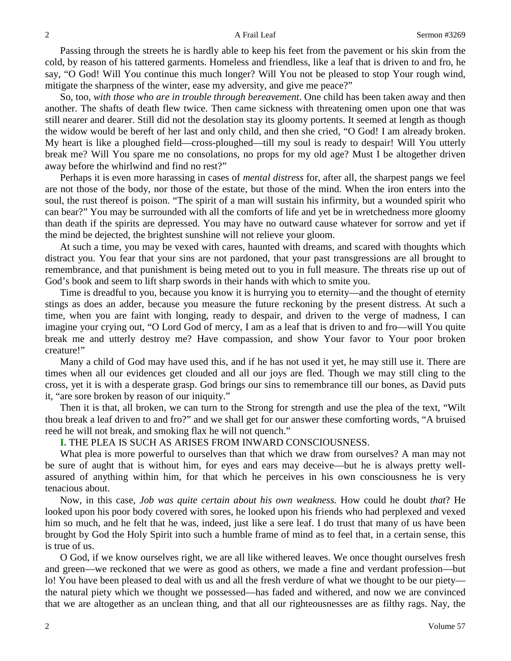Passing through the streets he is hardly able to keep his feet from the pavement or his skin from the cold, by reason of his tattered garments. Homeless and friendless, like a leaf that is driven to and fro, he say, "O God! Will You continue this much longer? Will You not be pleased to stop Your rough wind, mitigate the sharpness of the winter, ease my adversity, and give me peace?"

So, too, *with those who are in trouble through bereavement*. One child has been taken away and then another. The shafts of death flew twice. Then came sickness with threatening omen upon one that was still nearer and dearer. Still did not the desolation stay its gloomy portents. It seemed at length as though the widow would be bereft of her last and only child, and then she cried, "O God! I am already broken. My heart is like a ploughed field—cross-ploughed—till my soul is ready to despair! Will You utterly break me? Will You spare me no consolations, no props for my old age? Must I be altogether driven away before the whirlwind and find no rest?"

Perhaps it is even more harassing in cases of *mental distress* for, after all, the sharpest pangs we feel are not those of the body, nor those of the estate, but those of the mind. When the iron enters into the soul, the rust thereof is poison. "The spirit of a man will sustain his infirmity, but a wounded spirit who can bear?" You may be surrounded with all the comforts of life and yet be in wretchedness more gloomy than death if the spirits are depressed. You may have no outward cause whatever for sorrow and yet if the mind be dejected, the brightest sunshine will not relieve your gloom.

At such a time, you may be vexed with cares, haunted with dreams, and scared with thoughts which distract you. You fear that your sins are not pardoned, that your past transgressions are all brought to remembrance, and that punishment is being meted out to you in full measure. The threats rise up out of God's book and seem to lift sharp swords in their hands with which to smite you.

Time is dreadful to you, because you know it is hurrying you to eternity—and the thought of eternity stings as does an adder, because you measure the future reckoning by the present distress. At such a time, when you are faint with longing, ready to despair, and driven to the verge of madness, I can imagine your crying out, "O Lord God of mercy, I am as a leaf that is driven to and fro—will You quite break me and utterly destroy me? Have compassion, and show Your favor to Your poor broken creature!"

Many a child of God may have used this, and if he has not used it yet, he may still use it. There are times when all our evidences get clouded and all our joys are fled. Though we may still cling to the cross, yet it is with a desperate grasp. God brings our sins to remembrance till our bones, as David puts it, "are sore broken by reason of our iniquity."

Then it is that, all broken, we can turn to the Strong for strength and use the plea of the text, "Wilt thou break a leaf driven to and fro?" and we shall get for our answer these comforting words, "A bruised reed he will not break, and smoking flax he will not quench."

# **I.** THE PLEA IS SUCH AS ARISES FROM INWARD CONSCIOUSNESS.

What plea is more powerful to ourselves than that which we draw from ourselves? A man may not be sure of aught that is without him, for eyes and ears may deceive—but he is always pretty wellassured of anything within him, for that which he perceives in his own consciousness he is very tenacious about.

Now, in this case, *Job was quite certain about his own weakness.* How could he doubt *that*? He looked upon his poor body covered with sores, he looked upon his friends who had perplexed and vexed him so much, and he felt that he was, indeed, just like a sere leaf. I do trust that many of us have been brought by God the Holy Spirit into such a humble frame of mind as to feel that, in a certain sense, this is true of us.

O God, if we know ourselves right, we are all like withered leaves. We once thought ourselves fresh and green—we reckoned that we were as good as others, we made a fine and verdant profession—but lo! You have been pleased to deal with us and all the fresh verdure of what we thought to be our piety the natural piety which we thought we possessed—has faded and withered, and now we are convinced that we are altogether as an unclean thing, and that all our righteousnesses are as filthy rags. Nay, the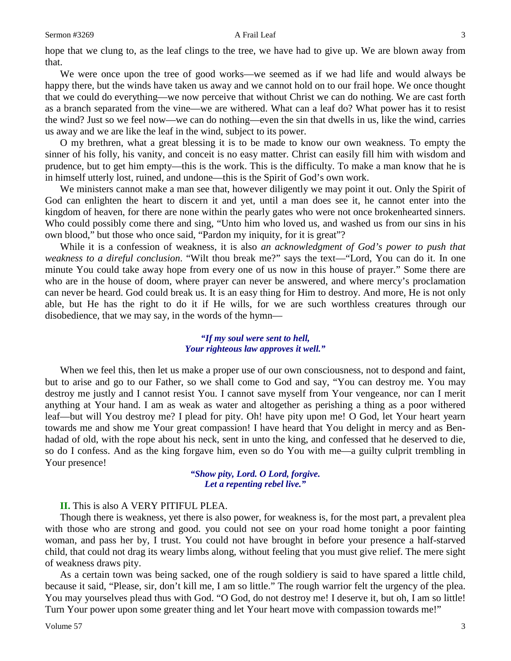hope that we clung to, as the leaf clings to the tree, we have had to give up. We are blown away from that.

We were once upon the tree of good works—we seemed as if we had life and would always be happy there, but the winds have taken us away and we cannot hold on to our frail hope. We once thought that we could do everything—we now perceive that without Christ we can do nothing. We are cast forth as a branch separated from the vine—we are withered. What can a leaf do? What power has it to resist the wind? Just so we feel now—we can do nothing—even the sin that dwells in us, like the wind, carries us away and we are like the leaf in the wind, subject to its power.

O my brethren, what a great blessing it is to be made to know our own weakness. To empty the sinner of his folly, his vanity, and conceit is no easy matter. Christ can easily fill him with wisdom and prudence, but to get him empty—this is the work. This is the difficulty. To make a man know that he is in himself utterly lost, ruined, and undone—this is the Spirit of God's own work.

We ministers cannot make a man see that, however diligently we may point it out. Only the Spirit of God can enlighten the heart to discern it and yet, until a man does see it, he cannot enter into the kingdom of heaven, for there are none within the pearly gates who were not once brokenhearted sinners. Who could possibly come there and sing, "Unto him who loved us, and washed us from our sins in his own blood," but those who once said, "Pardon my iniquity, for it is great"?

While it is a confession of weakness, it is also *an acknowledgment of God's power to push that weakness to a direful conclusion*. "Wilt thou break me?" says the text—"Lord, You can do it. In one minute You could take away hope from every one of us now in this house of prayer." Some there are who are in the house of doom, where prayer can never be answered, and where mercy's proclamation can never be heard. God could break us. It is an easy thing for Him to destroy. And more, He is not only able, but He has the right to do it if He wills, for we are such worthless creatures through our disobedience, that we may say, in the words of the hymn—

### *"If my soul were sent to hell, Your righteous law approves it well."*

When we feel this, then let us make a proper use of our own consciousness, not to despond and faint, but to arise and go to our Father, so we shall come to God and say, "You can destroy me. You may destroy me justly and I cannot resist You. I cannot save myself from Your vengeance, nor can I merit anything at Your hand. I am as weak as water and altogether as perishing a thing as a poor withered leaf—but will You destroy me? I plead for pity. Oh! have pity upon me! O God, let Your heart yearn towards me and show me Your great compassion! I have heard that You delight in mercy and as Benhadad of old, with the rope about his neck, sent in unto the king, and confessed that he deserved to die, so do I confess. And as the king forgave him, even so do You with me—a guilty culprit trembling in Your presence!

# *"Show pity, Lord. O Lord, forgive. Let a repenting rebel live."*

# **II.** This is also A VERY PITIFUL PLEA.

Though there is weakness, yet there is also power, for weakness is, for the most part, a prevalent plea with those who are strong and good. you could not see on your road home tonight a poor fainting woman, and pass her by, I trust. You could not have brought in before your presence a half-starved child, that could not drag its weary limbs along, without feeling that you must give relief. The mere sight of weakness draws pity.

As a certain town was being sacked, one of the rough soldiery is said to have spared a little child, because it said, "Please, sir, don't kill me, I am so little." The rough warrior felt the urgency of the plea. You may yourselves plead thus with God. "O God, do not destroy me! I deserve it, but oh, I am so little! Turn Your power upon some greater thing and let Your heart move with compassion towards me!"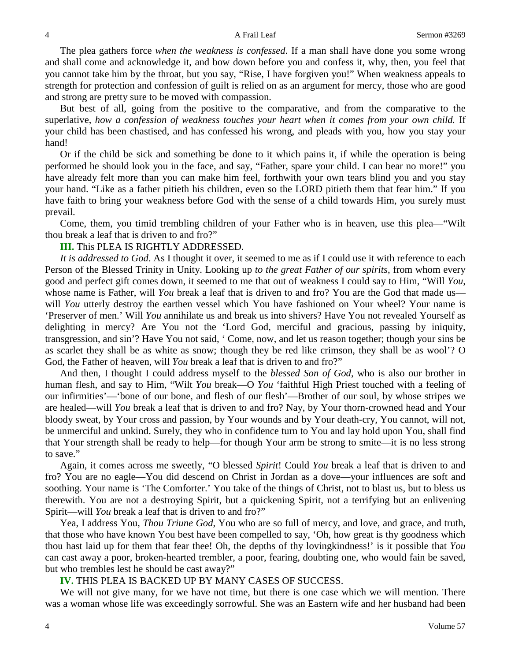The plea gathers force *when the weakness is confessed*. If a man shall have done you some wrong and shall come and acknowledge it, and bow down before you and confess it, why, then, you feel that you cannot take him by the throat, but you say, "Rise, I have forgiven you!" When weakness appeals to strength for protection and confession of guilt is relied on as an argument for mercy, those who are good and strong are pretty sure to be moved with compassion.

But best of all, going from the positive to the comparative, and from the comparative to the superlative, *how a confession of weakness touches your heart when it comes from your own child.* If your child has been chastised, and has confessed his wrong, and pleads with you, how you stay your hand!

Or if the child be sick and something be done to it which pains it, if while the operation is being performed he should look you in the face, and say, "Father, spare your child. I can bear no more!" you have already felt more than you can make him feel, forthwith your own tears blind you and you stay your hand. "Like as a father pitieth his children, even so the LORD pitieth them that fear him." If you have faith to bring your weakness before God with the sense of a child towards Him, you surely must prevail.

Come, them, you timid trembling children of your Father who is in heaven, use this plea—"Wilt thou break a leaf that is driven to and fro?"

### **III.** This PLEA IS RIGHTLY ADDRESSED.

*It is addressed to God*. As I thought it over, it seemed to me as if I could use it with reference to each Person of the Blessed Trinity in Unity. Looking up *to the great Father of our spirits*, from whom every good and perfect gift comes down, it seemed to me that out of weakness I could say to Him, "Will *You*, whose name is Father, will *You* break a leaf that is driven to and fro? You are the God that made us will *You* utterly destroy the earthen vessel which You have fashioned on Your wheel? Your name is 'Preserver of men.' Will *You* annihilate us and break us into shivers? Have You not revealed Yourself as delighting in mercy? Are You not the 'Lord God, merciful and gracious, passing by iniquity, transgression, and sin'? Have You not said, ' Come, now, and let us reason together; though your sins be as scarlet they shall be as white as snow; though they be red like crimson, they shall be as wool'? O God, the Father of heaven, will *You* break a leaf that is driven to and fro?"

And then, I thought I could address myself to the *blessed Son of God*, who is also our brother in human flesh, and say to Him, "Wilt *You* break—O *You* 'faithful High Priest touched with a feeling of our infirmities'—'bone of our bone, and flesh of our flesh'—Brother of our soul, by whose stripes we are healed—will *You* break a leaf that is driven to and fro? Nay, by Your thorn-crowned head and Your bloody sweat, by Your cross and passion, by Your wounds and by Your death-cry, You cannot, will not, be unmerciful and unkind. Surely, they who in confidence turn to You and lay hold upon You, shall find that Your strength shall be ready to help—for though Your arm be strong to smite—it is no less strong to save."

Again, it comes across me sweetly, "O blessed *Spirit*! Could *You* break a leaf that is driven to and fro? You are no eagle—You did descend on Christ in Jordan as a dove—your influences are soft and soothing. Your name is 'The Comforter.' You take of the things of Christ, not to blast us, but to bless us therewith. You are not a destroying Spirit, but a quickening Spirit, not a terrifying but an enlivening Spirit—will *You* break a leaf that is driven to and fro?"

Yea, I address You, *Thou Triune God*, You who are so full of mercy, and love, and grace, and truth, that those who have known You best have been compelled to say, 'Oh, how great is thy goodness which thou hast laid up for them that fear thee! Oh, the depths of thy lovingkindness!' is it possible that *You* can cast away a poor, broken-hearted trembler, a poor, fearing, doubting one, who would fain be saved, but who trembles lest he should be cast away?"

**IV.** THIS PLEA IS BACKED UP BY MANY CASES OF SUCCESS.

We will not give many, for we have not time, but there is one case which we will mention. There was a woman whose life was exceedingly sorrowful. She was an Eastern wife and her husband had been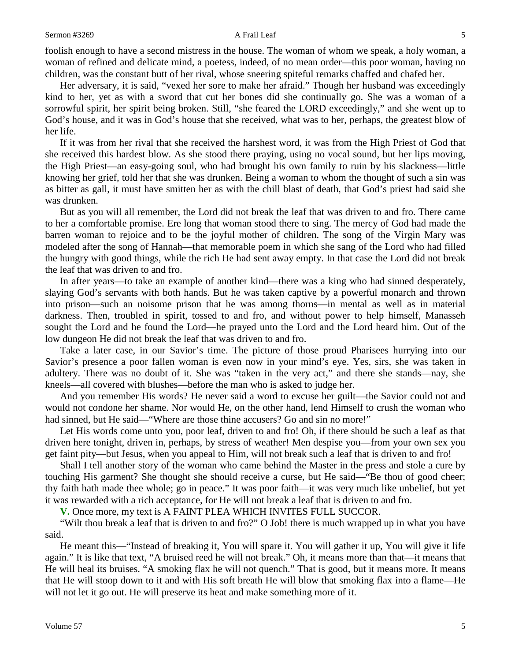foolish enough to have a second mistress in the house. The woman of whom we speak, a holy woman, a woman of refined and delicate mind, a poetess, indeed, of no mean order—this poor woman, having no children, was the constant butt of her rival, whose sneering spiteful remarks chaffed and chafed her.

Her adversary, it is said, "vexed her sore to make her afraid." Though her husband was exceedingly kind to her, yet as with a sword that cut her bones did she continually go. She was a woman of a sorrowful spirit, her spirit being broken. Still, "she feared the LORD exceedingly," and she went up to God's house, and it was in God's house that she received, what was to her, perhaps, the greatest blow of her life.

If it was from her rival that she received the harshest word, it was from the High Priest of God that she received this hardest blow. As she stood there praying, using no vocal sound, but her lips moving, the High Priest—an easy-going soul, who had brought his own family to ruin by his slackness—little knowing her grief, told her that she was drunken. Being a woman to whom the thought of such a sin was as bitter as gall, it must have smitten her as with the chill blast of death, that God's priest had said she was drunken.

But as you will all remember, the Lord did not break the leaf that was driven to and fro. There came to her a comfortable promise. Ere long that woman stood there to sing. The mercy of God had made the barren woman to rejoice and to be the joyful mother of children. The song of the Virgin Mary was modeled after the song of Hannah—that memorable poem in which she sang of the Lord who had filled the hungry with good things, while the rich He had sent away empty. In that case the Lord did not break the leaf that was driven to and fro.

In after years—to take an example of another kind—there was a king who had sinned desperately, slaying God's servants with both hands. But he was taken captive by a powerful monarch and thrown into prison—such an noisome prison that he was among thorns—in mental as well as in material darkness. Then, troubled in spirit, tossed to and fro, and without power to help himself, Manasseh sought the Lord and he found the Lord—he prayed unto the Lord and the Lord heard him. Out of the low dungeon He did not break the leaf that was driven to and fro.

Take a later case, in our Savior's time. The picture of those proud Pharisees hurrying into our Savior's presence a poor fallen woman is even now in your mind's eye. Yes, sirs, she was taken in adultery. There was no doubt of it. She was "taken in the very act," and there she stands—nay, she kneels—all covered with blushes—before the man who is asked to judge her.

And you remember His words? He never said a word to excuse her guilt—the Savior could not and would not condone her shame. Nor would He, on the other hand, lend Himself to crush the woman who had sinned, but He said—"Where are those thine accusers? Go and sin no more!"

Let His words come unto you, poor leaf, driven to and fro! Oh, if there should be such a leaf as that driven here tonight, driven in, perhaps, by stress of weather! Men despise you—from your own sex you get faint pity—but Jesus, when you appeal to Him, will not break such a leaf that is driven to and fro!

Shall I tell another story of the woman who came behind the Master in the press and stole a cure by touching His garment? She thought she should receive a curse, but He said—"Be thou of good cheer; thy faith hath made thee whole; go in peace." It was poor faith—it was very much like unbelief, but yet it was rewarded with a rich acceptance, for He will not break a leaf that is driven to and fro.

**V.** Once more, my text is A FAINT PLEA WHICH INVITES FULL SUCCOR.

"Wilt thou break a leaf that is driven to and fro?" O Job! there is much wrapped up in what you have said.

He meant this—"Instead of breaking it, You will spare it. You will gather it up, You will give it life again." It is like that text, "A bruised reed he will not break." Oh, it means more than that—it means that He will heal its bruises. "A smoking flax he will not quench." That is good, but it means more. It means that He will stoop down to it and with His soft breath He will blow that smoking flax into a flame—He will not let it go out. He will preserve its heat and make something more of it.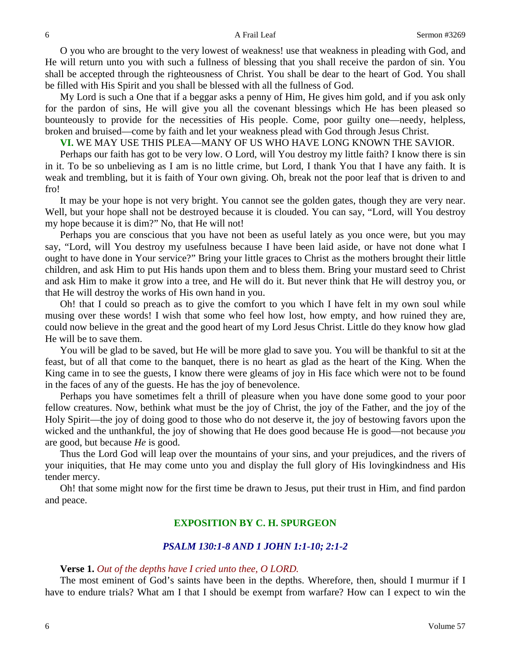O you who are brought to the very lowest of weakness! use that weakness in pleading with God, and He will return unto you with such a fullness of blessing that you shall receive the pardon of sin. You shall be accepted through the righteousness of Christ. You shall be dear to the heart of God. You shall be filled with His Spirit and you shall be blessed with all the fullness of God.

My Lord is such a One that if a beggar asks a penny of Him, He gives him gold, and if you ask only for the pardon of sins, He will give you all the covenant blessings which He has been pleased so bounteously to provide for the necessities of His people. Come, poor guilty one—needy, helpless, broken and bruised—come by faith and let your weakness plead with God through Jesus Christ.

**VI.** WE MAY USE THIS PLEA—MANY OF US WHO HAVE LONG KNOWN THE SAVIOR.

Perhaps our faith has got to be very low. O Lord, will You destroy my little faith? I know there is sin in it. To be so unbelieving as I am is no little crime, but Lord, I thank You that I have any faith. It is weak and trembling, but it is faith of Your own giving. Oh, break not the poor leaf that is driven to and fro!

It may be your hope is not very bright. You cannot see the golden gates, though they are very near. Well, but your hope shall not be destroyed because it is clouded. You can say, "Lord, will You destroy my hope because it is dim?" No, that He will not!

Perhaps you are conscious that you have not been as useful lately as you once were, but you may say, "Lord, will You destroy my usefulness because I have been laid aside, or have not done what I ought to have done in Your service?" Bring your little graces to Christ as the mothers brought their little children, and ask Him to put His hands upon them and to bless them. Bring your mustard seed to Christ and ask Him to make it grow into a tree, and He will do it. But never think that He will destroy you, or that He will destroy the works of His own hand in you.

Oh! that I could so preach as to give the comfort to you which I have felt in my own soul while musing over these words! I wish that some who feel how lost, how empty, and how ruined they are, could now believe in the great and the good heart of my Lord Jesus Christ. Little do they know how glad He will be to save them.

You will be glad to be saved, but He will be more glad to save you. You will be thankful to sit at the feast, but of all that come to the banquet, there is no heart as glad as the heart of the King. When the King came in to see the guests, I know there were gleams of joy in His face which were not to be found in the faces of any of the guests. He has the joy of benevolence.

Perhaps you have sometimes felt a thrill of pleasure when you have done some good to your poor fellow creatures. Now, bethink what must be the joy of Christ, the joy of the Father, and the joy of the Holy Spirit—the joy of doing good to those who do not deserve it, the joy of bestowing favors upon the wicked and the unthankful, the joy of showing that He does good because He is good—not because *you* are good, but because *He* is good.

Thus the Lord God will leap over the mountains of your sins, and your prejudices, and the rivers of your iniquities, that He may come unto you and display the full glory of His lovingkindness and His tender mercy.

Oh! that some might now for the first time be drawn to Jesus, put their trust in Him, and find pardon and peace.

# **EXPOSITION BY C. H. SPURGEON**

### *PSALM 130:1-8 AND 1 JOHN 1:1-10; 2:1-2*

### **Verse 1.** *Out of the depths have I cried unto thee, O LORD.*

The most eminent of God's saints have been in the depths. Wherefore, then, should I murmur if I have to endure trials? What am I that I should be exempt from warfare? How can I expect to win the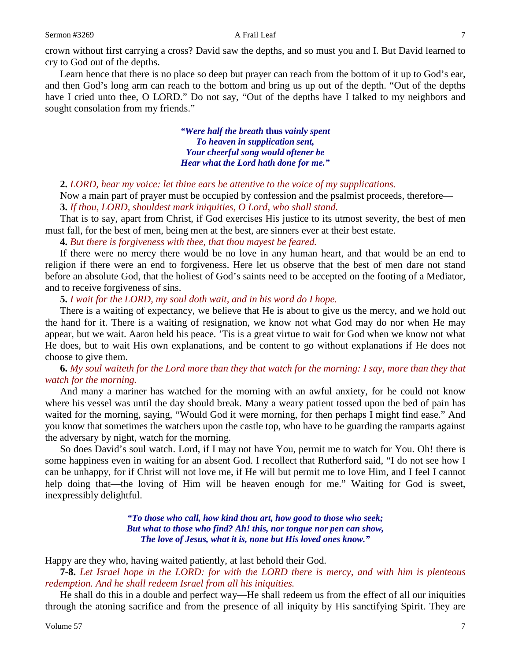crown without first carrying a cross? David saw the depths, and so must you and I. But David learned to cry to God out of the depths.

Learn hence that there is no place so deep but prayer can reach from the bottom of it up to God's ear, and then God's long arm can reach to the bottom and bring us up out of the depth. "Out of the depths have I cried unto thee, O LORD." Do not say, "Out of the depths have I talked to my neighbors and sought consolation from my friends."

> *"Were half the breath* **thus** *vainly spent To heaven in supplication sent, Your cheerful song would oftener be Hear what the Lord hath done for me."*

**2.** *LORD, hear my voice: let thine ears be attentive to the voice of my supplications.* 

Now a main part of prayer must be occupied by confession and the psalmist proceeds, therefore— **3.** *If thou, LORD, shouldest mark iniquities, O Lord, who shall stand.*

That is to say, apart from Christ, if God exercises His justice to its utmost severity, the best of men must fall, for the best of men, being men at the best, are sinners ever at their best estate.

**4.** *But there is forgiveness with thee, that thou mayest be feared.* 

If there were no mercy there would be no love in any human heart, and that would be an end to religion if there were an end to forgiveness. Here let us observe that the best of men dare not stand before an absolute God, that the holiest of God's saints need to be accepted on the footing of a Mediator, and to receive forgiveness of sins.

**5.** *I wait for the LORD, my soul doth wait, and in his word do I hope.* 

There is a waiting of expectancy, we believe that He is about to give us the mercy, and we hold out the hand for it. There is a waiting of resignation, we know not what God may do nor when He may appear, but we wait. Aaron held his peace. 'Tis is a great virtue to wait for God when we know not what He does, but to wait His own explanations, and be content to go without explanations if He does not choose to give them.

**6.** *My soul waiteth for the Lord more than they that watch for the morning: I say, more than they that watch for the morning.* 

And many a mariner has watched for the morning with an awful anxiety, for he could not know where his vessel was until the day should break. Many a weary patient tossed upon the bed of pain has waited for the morning, saying, "Would God it were morning, for then perhaps I might find ease." And you know that sometimes the watchers upon the castle top, who have to be guarding the ramparts against the adversary by night, watch for the morning.

So does David's soul watch. Lord, if I may not have You, permit me to watch for You. Oh! there is some happiness even in waiting for an absent God. I recollect that Rutherford said, "I do not see how I can be unhappy, for if Christ will not love me, if He will but permit me to love Him, and I feel I cannot help doing that—the loving of Him will be heaven enough for me." Waiting for God is sweet, inexpressibly delightful.

> *"To those who call, how kind thou art, how good to those who seek; But what to those who find? Ah! this, nor tongue nor pen can show, The love of Jesus, what it is, none but His loved ones know."*

Happy are they who, having waited patiently, at last behold their God.

**7-8.** *Let Israel hope in the LORD: for with the LORD there is mercy, and with him is plenteous redemption. And he shall redeem Israel from all his iniquities.* 

He shall do this in a double and perfect way—He shall redeem us from the effect of all our iniquities through the atoning sacrifice and from the presence of all iniquity by His sanctifying Spirit. They are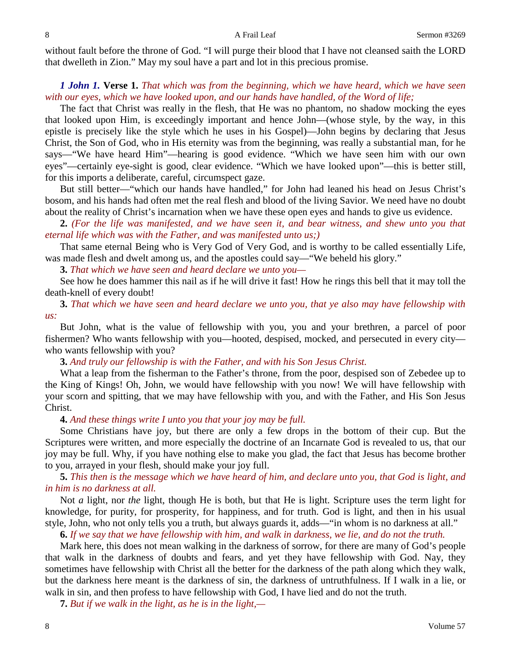without fault before the throne of God. "I will purge their blood that I have not cleansed saith the LORD that dwelleth in Zion." May my soul have a part and lot in this precious promise.

# *1 John 1.* **Verse 1.** *That which was from the beginning, which we have heard, which we have seen with our eyes, which we have looked upon, and our hands have handled, of the Word of life;*

The fact that Christ was really in the flesh, that He was no phantom, no shadow mocking the eyes that looked upon Him, is exceedingly important and hence John—(whose style, by the way, in this epistle is precisely like the style which he uses in his Gospel)—John begins by declaring that Jesus Christ, the Son of God, who in His eternity was from the beginning, was really a substantial man, for he says—"We have heard Him"—hearing is good evidence. "Which we have seen him with our own eyes"—certainly eye-sight is good, clear evidence. "Which we have looked upon"—this is better still, for this imports a deliberate, careful, circumspect gaze.

But still better—"which our hands have handled," for John had leaned his head on Jesus Christ's bosom, and his hands had often met the real flesh and blood of the living Savior. We need have no doubt about the reality of Christ's incarnation when we have these open eyes and hands to give us evidence.

**2.** *(For the life was manifested, and we have seen it, and bear witness, and shew unto you that eternal life which was with the Father, and was manifested unto us;)* 

That same eternal Being who is Very God of Very God, and is worthy to be called essentially Life, was made flesh and dwelt among us, and the apostles could say—"We beheld his glory."

**3.** *That which we have seen and heard declare we unto you—*

See how he does hammer this nail as if he will drive it fast! How he rings this bell that it may toll the death-knell of every doubt!

**3.** *That which we have seen and heard declare we unto you, that ye also may have fellowship with us:*

But John, what is the value of fellowship with you, you and your brethren, a parcel of poor fishermen? Who wants fellowship with you—hooted, despised, mocked, and persecuted in every city who wants fellowship with you?

**3.** *And truly our fellowship is with the Father, and with his Son Jesus Christ.* 

What a leap from the fisherman to the Father's throne, from the poor, despised son of Zebedee up to the King of Kings! Oh, John, we would have fellowship with you now! We will have fellowship with your scorn and spitting, that we may have fellowship with you, and with the Father, and His Son Jesus Christ.

# **4.** *And these things write I unto you that your joy may be full.*

Some Christians have joy, but there are only a few drops in the bottom of their cup. But the Scriptures were written, and more especially the doctrine of an Incarnate God is revealed to us, that our joy may be full. Why, if you have nothing else to make you glad, the fact that Jesus has become brother to you, arrayed in your flesh, should make your joy full.

**5.** *This then is the message which we have heard of him, and declare unto you, that God is light, and in him is no darkness at all.* 

Not *a* light, nor *the* light, though He is both, but that He is light. Scripture uses the term light for knowledge, for purity, for prosperity, for happiness, and for truth. God is light, and then in his usual style, John, who not only tells you a truth, but always guards it, adds—"in whom is no darkness at all."

**6.** *If we say that we have fellowship with him, and walk in darkness, we lie, and do not the truth.*

Mark here, this does not mean walking in the darkness of sorrow, for there are many of God's people that walk in the darkness of doubts and fears, and yet they have fellowship with God. Nay, they sometimes have fellowship with Christ all the better for the darkness of the path along which they walk, but the darkness here meant is the darkness of sin, the darkness of untruthfulness. If I walk in a lie, or walk in sin, and then profess to have fellowship with God, I have lied and do not the truth.

**7.** *But if we walk in the light, as he is in the light,—*